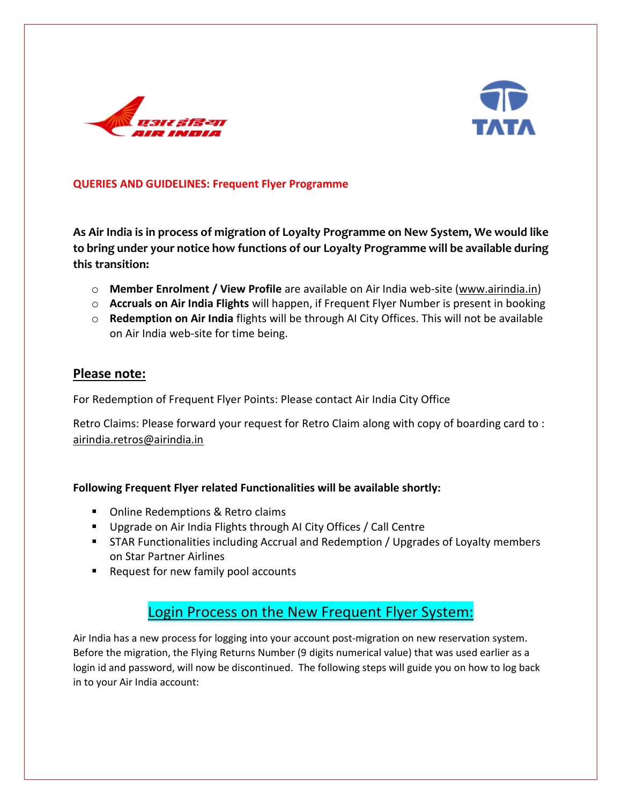



### **QUERIES AND GUIDELINES: Frequent Flyer Programme**

**As Air India is in process of migration of Loyalty Programme on New System, We would like to bring under your notice how functions of our Loyalty Programme will be available during this transition:**

- o **Member Enrolment / View Profile** are available on Air India web-site [\(www.airindia.in\)](http://www.airindia.in/)
- o **Accruals on Air India Flights** will happen, if Frequent Flyer Number is present in booking
- o **Redemption on Air India** flights will be through AI City Offices. This will not be available on Air India web-site for time being.

### **Please note:**

For Redemption of Frequent Flyer Points: Please contact Air India City Office

Retro Claims: Please forward your request for Retro Claim along with copy of boarding card to : [airindia.retros@airindia.in](mailto:airindia.retros@airindia.in)

### **Following Frequent Flyer related Functionalities will be available shortly:**

- Online Redemptions & Retro claims
- **Upgrade on Air India Flights through AI City Offices / Call Centre**
- STAR Functionalities including Accrual and Redemption / Upgrades of Loyalty members on Star Partner Airlines
- Request for new family pool accounts

# Login Process on the New Frequent Flyer System:

Air India has a new process for logging into your account post-migration on new reservation system. Before the migration, the Flying Returns Number (9 digits numerical value) that was used earlier as a login id and password, will now be discontinued. The following steps will guide you on how to log back in to your Air India account: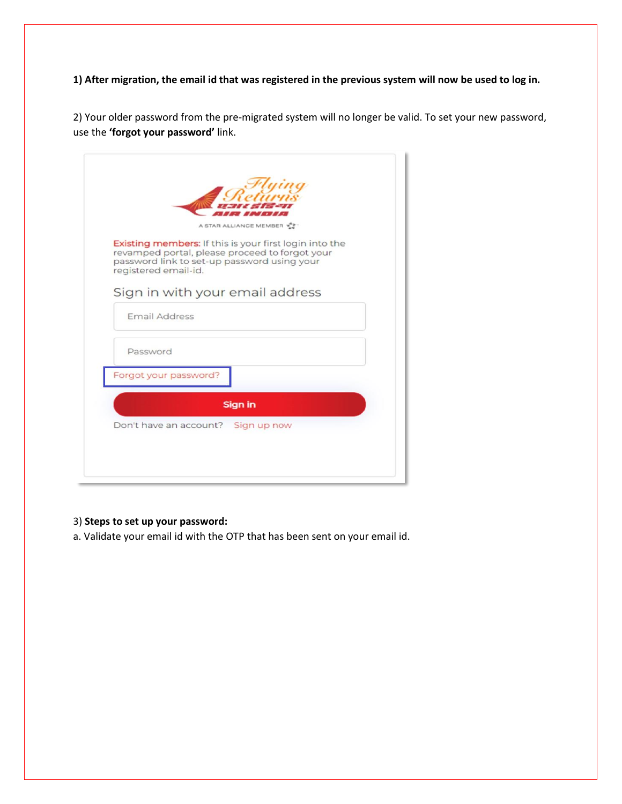## **1) After migration, the email id that was registered in the previous system will now be used to log in.**

2) Your older password from the pre-migrated system will no longer be valid. To set your new password, use the **'forgot your password'** link.

|          | 757.77<br>A STAR ALLIANCE MEMBER $\mathbf{v}^{\mathbf{a}}$ .                                                                                                                           |
|----------|----------------------------------------------------------------------------------------------------------------------------------------------------------------------------------------|
|          | <b>Existing members:</b> If this is your first login into the<br>revamped portal, please proceed to forgot your<br>password link to set-up password using your<br>registered email-id. |
|          | Sign in with your email address                                                                                                                                                        |
|          | <b>Email Address</b>                                                                                                                                                                   |
| Password |                                                                                                                                                                                        |
|          | Forgot your password?                                                                                                                                                                  |
|          | Sign in                                                                                                                                                                                |
|          | Don't have an account? Sign up now                                                                                                                                                     |

# 3) **Steps to set up your password:**

a. Validate your email id with the OTP that has been sent on your email id.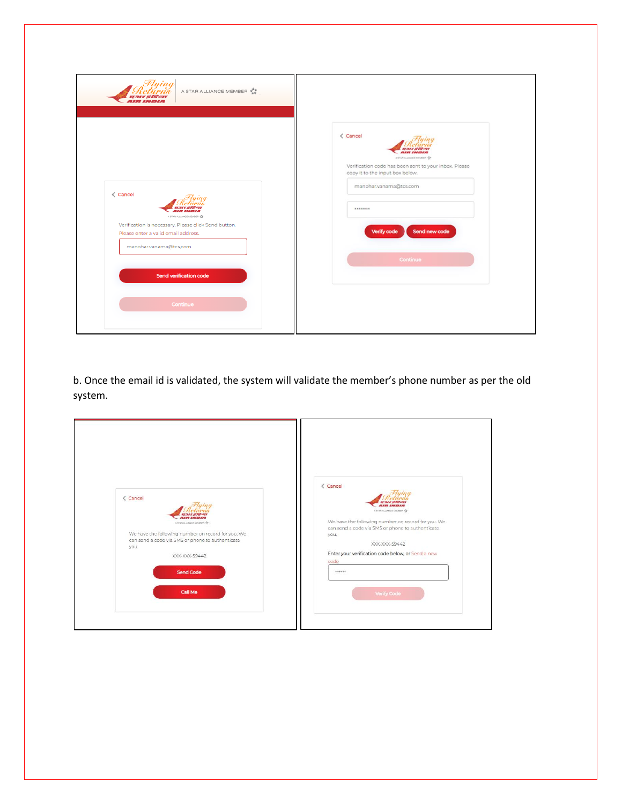|                                                                                  | $\langle$ Cancel                                                                         |
|----------------------------------------------------------------------------------|------------------------------------------------------------------------------------------|
|                                                                                  | 12.712 STR-7<br>AIR INBIA<br>A STAR ALLIANCE MEMBER CT                                   |
|                                                                                  | Verification code has been sent to your inbox. Please<br>copy it to the input box below. |
| $\langle$ Cancel                                                                 | manohar.vanama@tcs.com                                                                   |
| मःअर इंसिन्म<br>AIR INDIA                                                        | ********                                                                                 |
| A STAR ALLMACE MEMBER 12<br>Verification is necessary. Please click Send button. |                                                                                          |
| Please enter a valid email address.<br>manohar.vanama@tcs,com                    | Send new code<br>Verify code                                                             |
|                                                                                  | Continue                                                                                 |
| <b>Send verification code</b>                                                    |                                                                                          |

b. Once the email id is validated, the system will validate the member's phone number as per the old system.

| $\langle$ Cancel                                                                                                                                                  | < Cancel<br><b>MIN IND</b><br>A STAR A LANGE MEMBER CT                                                                          |
|-------------------------------------------------------------------------------------------------------------------------------------------------------------------|---------------------------------------------------------------------------------------------------------------------------------|
| <b>MERT ENERGY</b><br>A STAR ALLIANCE MEMBER CT<br>We have the following number on record for you. We<br>can send a code via SMS or phone to authenticate<br>you. | We have the following number on record for you. We<br>can send a code via SMS or phone to authenticate<br>you.<br>XXX-XXX-59442 |
| XXX-XXX-59442<br><b>Send Code</b>                                                                                                                                 | Enter your verification code below, or Send a new<br>code<br><i>assas</i>                                                       |
| <b>Call Me</b>                                                                                                                                                    | Verify Code                                                                                                                     |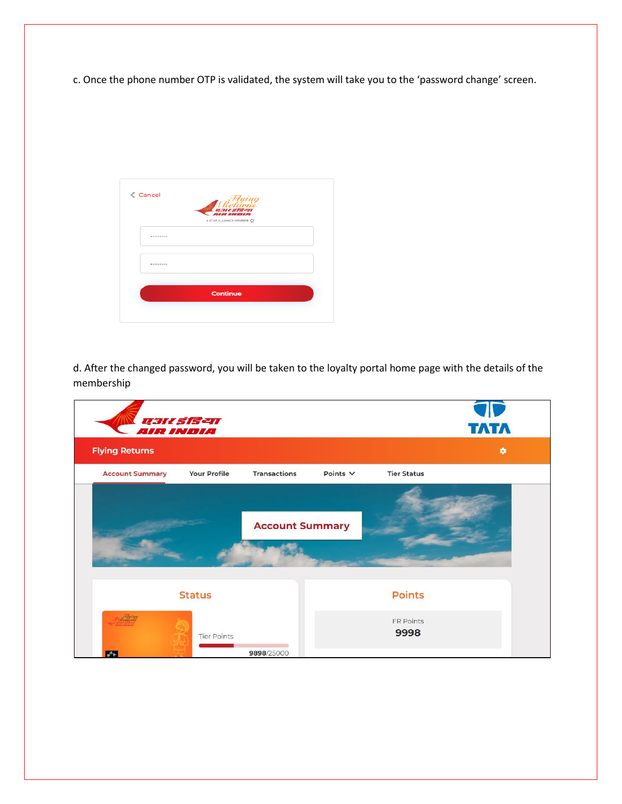c. Once the phone number OTP is validated, the system will take you to the 'password change' screen.

| < Cancel | Flying<br>Returns<br>12.332.10110-033    |  |
|----------|------------------------------------------|--|
|          | AIR INBIA<br>A STAR ALLIANCE MEMBER \$2" |  |
|          |                                          |  |
|          |                                          |  |
|          |                                          |  |
|          | <b>Continue</b>                          |  |

d. After the changed password, you will be taken to the loyalty portal home page with the details of the membership